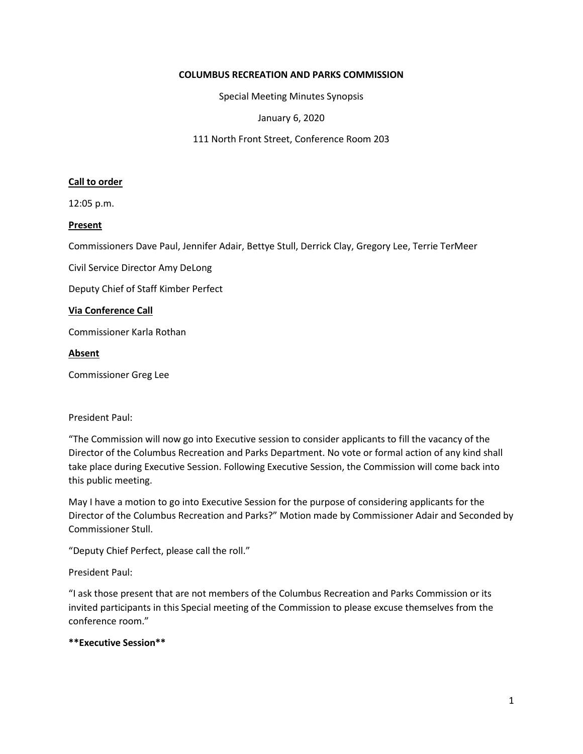## **COLUMBUS RECREATION AND PARKS COMMISSION**

Special Meeting Minutes Synopsis

January 6, 2020

111 North Front Street, Conference Room 203

## **Call to order**

12:05 p.m.

## **Present**

Commissioners Dave Paul, Jennifer Adair, Bettye Stull, Derrick Clay, Gregory Lee, Terrie TerMeer

Civil Service Director Amy DeLong

Deputy Chief of Staff Kimber Perfect

#### **Via Conference Call**

Commissioner Karla Rothan

## **Absent**

Commissioner Greg Lee

# President Paul:

"The Commission will now go into Executive session to consider applicants to fill the vacancy of the Director of the Columbus Recreation and Parks Department. No vote or formal action of any kind shall take place during Executive Session. Following Executive Session, the Commission will come back into this public meeting.

May I have a motion to go into Executive Session for the purpose of considering applicants for the Director of the Columbus Recreation and Parks?" Motion made by Commissioner Adair and Seconded by Commissioner Stull.

"Deputy Chief Perfect, please call the roll."

President Paul:

"I ask those present that are not members of the Columbus Recreation and Parks Commission or its invited participants in this Special meeting of the Commission to please excuse themselves from the conference room."

# **\*\*Executive Session\*\***